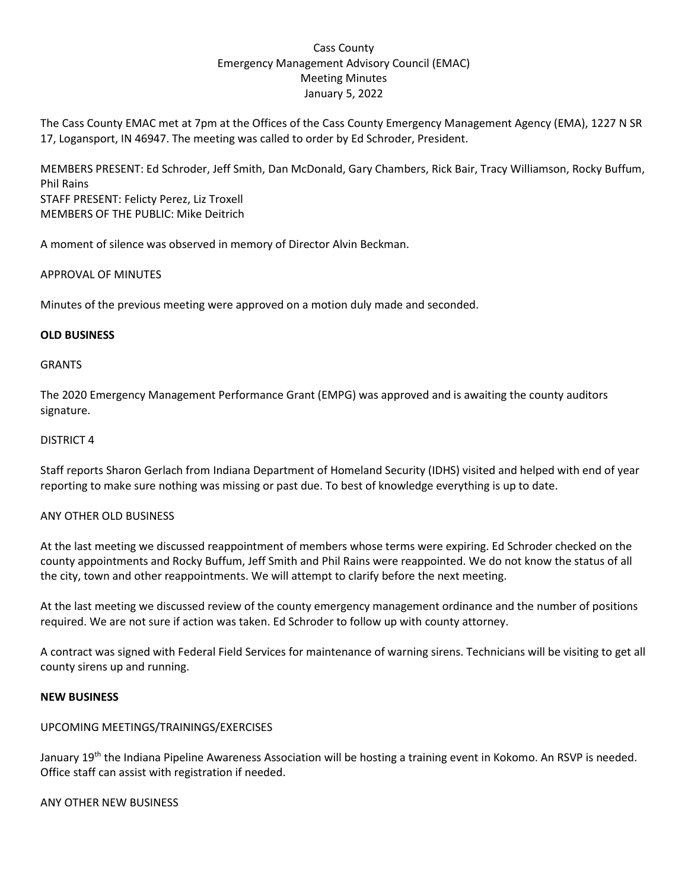# Cass County Emergency Management Advisory Council (EMAC) Meeting Minutes January 5, 2022

The Cass County EMAC met at 7pm at the Offices of the Cass County Emergency Management Agency (EMA), 1227 N SR 17, Logansport, IN 46947. The meeting was called to order by Ed Schroder, President.

MEMBERS PRESENT: Ed Schroder, Jeff Smith, Dan McDonald, Gary Chambers, Rick Bair, Tracy Williamson, Rocky Buffum, Phil Rains STAFF PRESENT: Felicty Perez, Liz Troxell MEMBERS OF THE PUBLIC: Mike Deitrich

A moment of silence was observed in memory of Director Alvin Beckman.

APPROVAL OF MINUTES

Minutes of the previous meeting were approved on a motion duly made and seconded.

### **OLD BUSINESS**

#### GRANTS

The 2020 Emergency Management Performance Grant (EMPG) was approved and is awaiting the county auditors signature.

#### DISTRICT 4

Staff reports Sharon Gerlach from Indiana Department of Homeland Security (IDHS) visited and helped with end of year reporting to make sure nothing was missing or past due. To best of knowledge everything is up to date.

### ANY OTHER OLD BUSINESS

At the last meeting we discussed reappointment of members whose terms were expiring. Ed Schroder checked on the county appointments and Rocky Buffum, Jeff Smith and Phil Rains were reappointed. We do not know the status of all the city, town and other reappointments. We will attempt to clarify before the next meeting.

At the last meeting we discussed review of the county emergency management ordinance and the number of positions required. We are not sure if action was taken. Ed Schroder to follow up with county attorney.

A contract was signed with Federal Field Services for maintenance of warning sirens. Technicians will be visiting to get all county sirens up and running.

#### **NEW BUSINESS**

### UPCOMING MEETINGS/TRAININGS/EXERCISES

January 19<sup>th</sup> the Indiana Pipeline Awareness Association will be hosting a training event in Kokomo. An RSVP is needed. Office staff can assist with registration if needed.

#### ANY OTHER NEW BUSINESS